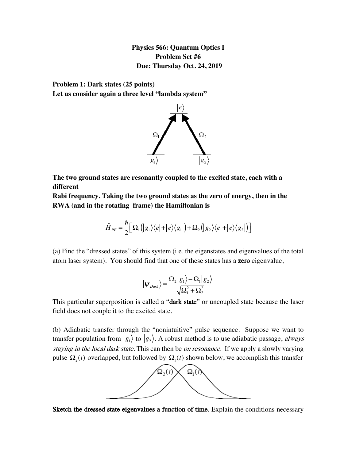**Physics 566: Quantum Optics I Problem Set #6 Due: Thursday Oct. 24, 2019**

**Problem 1: Dark states (25 points) Let us consider again a three level "lambda system"**



**The two ground states are resonantly coupled to the excited state, each with a different**

**Rabi frequency. Taking the two ground states as the zero of energy, then in the RWA (and in the rotating frame) the Hamiltonian is**

$$
\hat{H}_{RF} = \frac{\hbar}{2} \Big[ \Omega_1 \Big( |g_1\rangle \Big\langle e| + |e\rangle \Big\langle g_1| \Big) + \Omega_2 \Big( |g_2\rangle \Big\langle e| + |e\rangle \Big\langle g_2| \Big) \Big]
$$

(a) Find the "dressed states" of this system (i.e. the eigenstates and eigenvalues of the total atom laser system). You should find that one of these states has a zero eigenvalue,

$$
|\psi_{\text{Dark}}\rangle = \frac{\Omega_2|g_1\rangle - \Omega_1|g_2\rangle}{\sqrt{\Omega_1^2 + \Omega_2^2}}
$$

This particular superposition is called a "dark state" or uncoupled state because the laser field does not couple it to the excited state.

(b) Adiabatic transfer through the "nonintuitive" pulse sequence. Suppose we want to transfer population from  $|g_1\rangle$  to  $|g_2\rangle$ . A robust method is to use adiabatic passage, *always* staying in the local dark state. This can then be on resonance. If we apply a slowly varying pulse  $\Omega_2(t)$  overlapped, but followed by  $\Omega_1(t)$  shown below, we accomplish this transfer



Sketch the dressed state eigenvalues a function of time. Explain the conditions necessary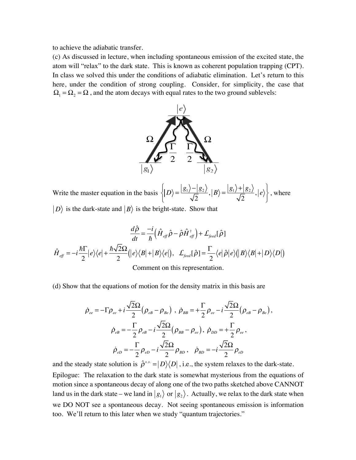to achieve the adiabatic transfer.

(c) As discussed in lecture, when including spontaneous emission of the excited state, the atom will "relax" to the dark state. This is known as coherent population trapping (CPT). In class we solved this under the conditions of adiabatic elimination. Let's return to this here, under the condition of strong coupling. Consider, for simplicity, the case that  $\Omega_1 = \Omega_2 = \Omega$ , and the atom decays with equal rates to the two ground sublevels:



Write the master equation in the basis  $\left\{ |D\rangle = \frac{|g_1\rangle - |g_2\rangle}{\sqrt{2}}, |B\rangle = \frac{|g_1\rangle + |g_2\rangle}{\sqrt{2}}, |e\rangle \right\}$ , where  $\overline{a}$ ⎨  $\overline{a}$  $\frac{1}{2}$  $\left\{ \right.$ ⎭

 $\langle D \rangle$  is the dark-state and  $|B \rangle$  is the bright-state. Show that

$$
\frac{d\hat{\rho}}{dt} = -i \frac{1}{\hbar} \left( \hat{H}_{\text{eff}} \hat{\rho} - \hat{\rho} \hat{H}_{\text{eff}}^{\dagger} \right) + \mathcal{L}_{\text{feed}}[\hat{\rho}]
$$

$$
\hat{H}_{\text{eff}} = -i \frac{\hbar \Gamma}{2} |e\rangle \langle e| + \frac{\hbar \sqrt{2} \Omega}{2} (|e\rangle \langle B| + |B\rangle \langle e|), \quad \mathcal{L}_{\text{feed}}[\hat{\rho}] = \frac{\Gamma}{2} \langle e|\hat{\rho}|e\rangle (|B\rangle \langle B| + |D\rangle \langle D|)
$$
Comment on this representation.

(d) Show that the equations of motion for the density matrix in this basis are

$$
\dot{\rho}_{ee} = -\Gamma \rho_{ee} + i \frac{\sqrt{2}\Omega}{2} (\rho_{eB} - \rho_{Be}) , \ \dot{\rho}_{BB} = + \frac{\Gamma}{2} \rho_{ee} - i \frac{\sqrt{2}\Omega}{2} (\rho_{eB} - \rho_{Be}),
$$

$$
\dot{\rho}_{eB} = -\frac{\Gamma}{2} \rho_{eB} - i \frac{\sqrt{2}\Omega}{2} (\rho_{BB} - \rho_{ee}), \ \dot{\rho}_{DD} = + \frac{\Gamma}{2} \rho_{ee},
$$

$$
\dot{\rho}_{eD} = -\frac{\Gamma}{2} \rho_{eD} - i \frac{\sqrt{2}\Omega}{2} \rho_{BD} , \ \dot{\rho}_{BD} = -i \frac{\sqrt{2}\Omega}{2} \rho_{eD}
$$

and the steady state solution is  $\hat{\rho}^{ss.} = |D\rangle\langle D|$ , i.e., the system relaxes to the dark-state. Epilogue: The relaxation to the dark state is somewhat mysterious from the equations of motion since a spontaneous decay of along one of the two paths sketched above CANNOT land us in the dark state – we land in  $|g_1\rangle$  or  $|g_2\rangle$ . Actually, we relax to the dark state when we DO NOT see a spontaneous decay. Not seeing spontaneous emission is information too. We'll return to this later when we study "quantum trajectories."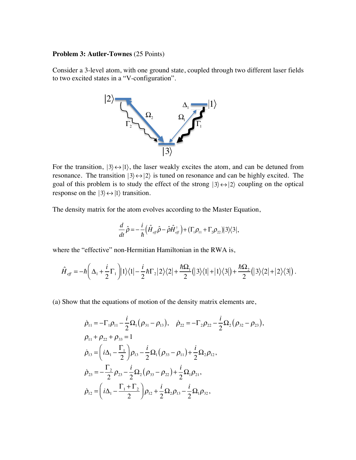## **Problem 3: Autler-Townes** (25 Points)

Consider a 3-level atom, with one ground state, coupled through two different laser fields to two excited states in a "V-configuration".



For the transition,  $|3\rangle \leftrightarrow |1\rangle$ , the laser weakly excites the atom, and can be detuned from resonance. The transition  $|3\rangle \leftrightarrow |2\rangle$  is tuned on resonance and can be highly excited. The goal of this problem is to study the effect of the strong  $|3\rangle \leftrightarrow |2\rangle$  coupling on the optical response on the  $|3\rangle \leftrightarrow |1\rangle$  transition.

The density matrix for the atom evolves according to the Master Equation,  $\mathbf{u}$ 

$$
\frac{d}{dt}\hat{\rho} = -\frac{i}{\hbar} \Big(\hat{H}_{\text{eff}}\hat{\rho} - \hat{\rho}\hat{H}_{\text{eff}}^{\dagger}\Big) + \big(\Gamma_1 \rho_{11} + \Gamma_2 \rho_{22}\big) \big|3\big>\big<3\big|,
$$

where the "effective" non-Hermitian Hamiltonian in the RWA is,

$$
\hat{H}_{\text{eff}} = -\hbar \left( \Delta_1 + \frac{i}{2} \Gamma_1 \right) |1\rangle\langle 1| - \frac{i}{2} \hbar \Gamma_2 |2\rangle\langle 2| + \frac{\hbar \Omega_1}{2} (|3\rangle\langle 1| + |1\rangle\langle 3|) + \frac{\hbar \Omega_2}{2} (|3\rangle\langle 2| + |2\rangle\langle 3|) .
$$

(a) Show that the equations of motion of the density matrix elements are,

$$
\dot{\rho}_{11} = -\Gamma_1 \rho_{11} - \frac{i}{2} \Omega_1 (\rho_{31} - \rho_{13}), \quad \dot{\rho}_{22} = -\Gamma_2 \rho_{22} - \frac{i}{2} \Omega_2 (\rho_{32} - \rho_{23}),
$$
\n
$$
\rho_{11} + \rho_{22} + \rho_{33} = 1
$$
\n
$$
\dot{\rho}_{13} = \left( i \Delta_1 - \frac{\Gamma_1}{2} \right) \rho_{13} - \frac{i}{2} \Omega_1 (\rho_{33} - \rho_{11}) + \frac{i}{2} \Omega_2 \rho_{12},
$$
\n
$$
\dot{\rho}_{23} = -\frac{\Gamma_2}{2} \rho_{23} - \frac{i}{2} \Omega_2 (\rho_{33} - \rho_{22}) + \frac{i}{2} \Omega_1 \rho_{21},
$$
\n
$$
\dot{\rho}_{12} = \left( i \Delta_1 - \frac{\Gamma_1 + \Gamma_2}{2} \right) \rho_{12} + \frac{i}{2} \Omega_2 \rho_{13} - \frac{i}{2} \Omega_1 \rho_{32},
$$